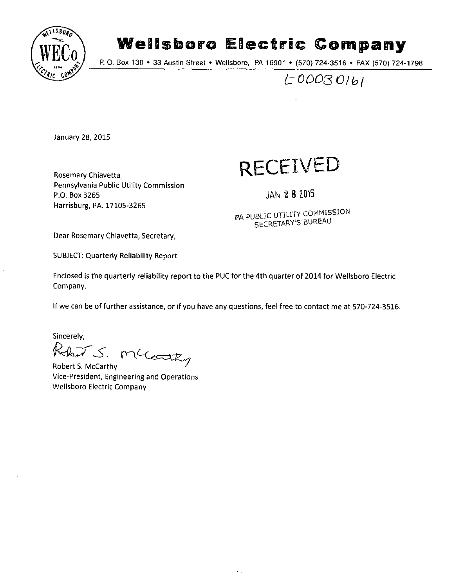

# **Wellsboro Electric Company**<br>P. O. Box 138 • 33 Austin Street • Wellsboro, PA 16901 • (570) 724-3516 • FAX (570) 724-1798

*10003 Olb(* 

January 28, 2015

Rosemary Chiavetta Pennsylvania Public Utility Commission P.O. Box 3265 Harrisburg, PA. 17105-3265

## **RECEIVED**

JAN 2 8 2015

PA PUBLIC UTILITY COMMISSION SECRETARY'S BUREAU

Dear Rosemary Chiavetta, Secretary,

SUBJECT: Quarterly Reliability Report

Enclosed is the quarterly reliability report to the PUC for the 4th quarter of 2014 for Wellsboro Electric Company.

If we can be of further assistance, or if you have any questions, feel free to contact me at 570-724-3516.

Sincerely,

*S.* 

Robert S. McCarthy Vice-President, Engineering and Operations Wellsboro Electric Company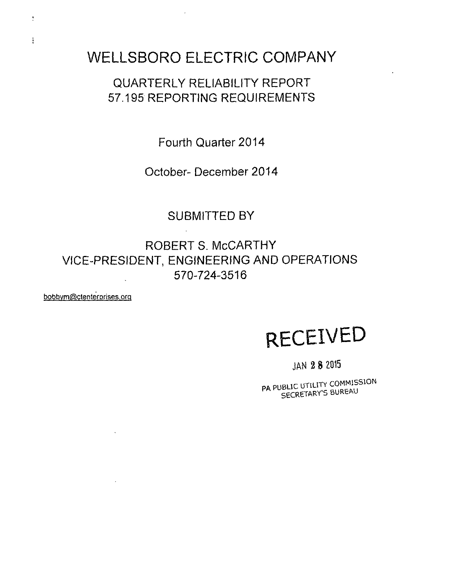## **WELLSBORO ELECTRIC COMPANY**

## **QUARTERLY RELIABILITY REPORT 57.195 REPORTING REQUIREMENTS**

**Fourth Quarter 2014** 

**October- December 2014** 

### **SUBMITTED BY**

**ROBERT s. MCCARTHY VICE-PRESIDENT, ENGINEERING AND OPERATIONS 570-724-3516** 

bobbvm@ctenterprises.orq

 $\sim$ 

 $\sim 10$ 

 $\frac{1}{2}$ 

ŧ

## **RECEIVED**

**JAN 2 8 2015** 

PA PUBLIC UTILITY COMMISSION SECRETARY'S BUREAU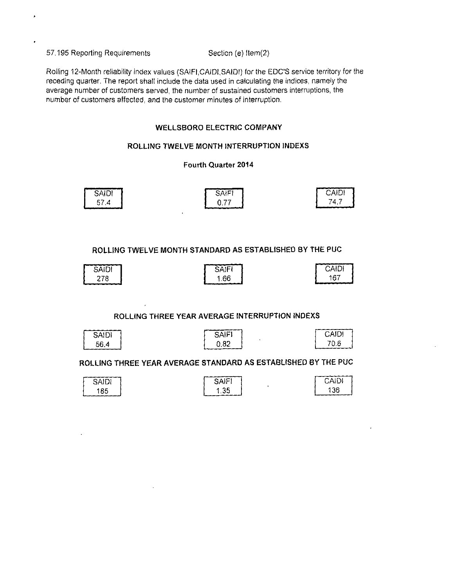57.195 Reporting Requirements Section (e) Item(2)

Rolling 12-Month reliability index values (SAIFt,CAIDI,SAIDI) for the EDC'S service territory for the receding quarter. The report shall include the data used in calculating the indices, namely the average number of customers served, the number of sustained customers interruptions, the number of customers affected, and the customer minutes of interruption.

#### **WELLSBORO ELECTRIC COMPANY**

#### **ROLLING TWELVE MONTH INTERRUPTION INDEXS**

#### **Fourth Quarter 2014**

| <b>SAIDI</b>       | <b>SAIF</b> | ″ب⊓∖س |
|--------------------|-------------|-------|
| $\sim$ $-$<br>57.4 | 77          | 74.7  |

 $\sim$ 

**ROLLING TWELVE MONTH STANDARD AS ESTABLISHED BY THE PUC** 

| שהע | .<br>۰٬۰۰۰ | <b>UNIUI</b> |
|-----|------------|--------------|
| 278 | .66        | 167          |

#### **ROLLING THREE YEAR AVERAGE INTERRUPTION INDEXS**

**CAIDI** 70.6

| <b>SAIDI</b> | <b>CAIF!</b>                |
|--------------|-----------------------------|
| 56.4         | $\ddot{\phantom{1}}$<br>-82 |

#### ROLLING THREE YEAR AVERAGE STANDARD AS ESTABLISHED BY THE PUC

| SAIDI                  | AIC'<br>SAII. | CAIDI |
|------------------------|---------------|-------|
| 185<br>----<br>_______ | .35           | 136   |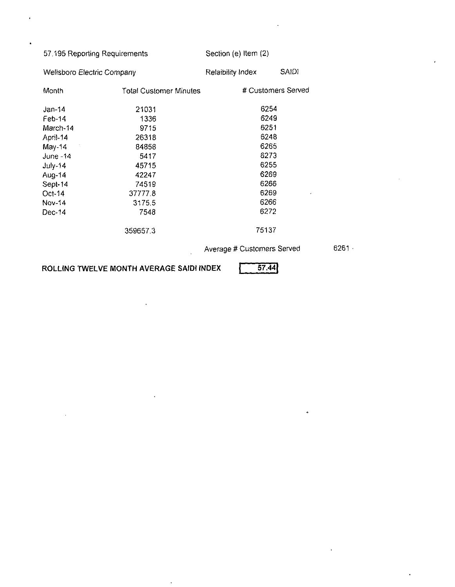| 57.195 Reporting Requirements     |                        | Section (e) Item (2)       |              |
|-----------------------------------|------------------------|----------------------------|--------------|
| <b>Wellsboro Electric Company</b> |                        | Relaibility Index          | <b>SAIDI</b> |
| Month                             | Total Customer Minutes | # Customers Served         |              |
| Jan-14                            | 21031                  | 6254                       |              |
| Feb-14                            | 1336                   | 6249                       |              |
| March-14                          | 9715                   | 6251                       |              |
| April-14                          | 26318                  | 6248                       |              |
| May-14                            | 84858                  | 6265                       |              |
| June -14                          | 5417                   | 6273                       |              |
| $July-14$                         | 45715                  | 6255                       |              |
| Aug-14                            | 42247                  | 6269                       |              |
| Sept-14                           | 74519                  | 6266                       |              |
| Oct-14                            | 377778                 | 6269                       |              |
| Nov-14                            | 3175.5                 | 6266                       |              |
| Dec-14                            | 7548                   | 6272                       |              |
|                                   | 359657.3               | 75137                      |              |
|                                   |                        | Average # Customers Served |              |

**ROLLING TWELVE MONTH AVERAGE SAIDI INDEX | 57.44|** 

 $\ddot{\phantom{a}}$ 

l,

 $\ddot{\phantom{a}}$ 

6261

k,

 $\ddot{\phantom{1}}$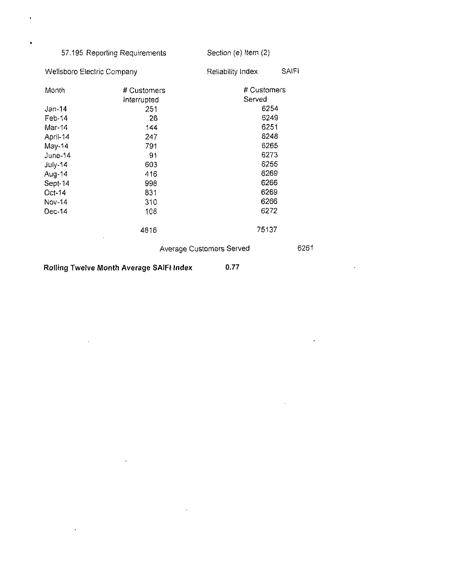### 57.195 Reporting Requirements Section (e) Item (2)

 $\mathcal{A}^{\pm}$ 

 $\sim$   $\sim$ 

 $\ddot{\phantom{a}}$ 

 $\sim$ 

 $\overline{1}$ 

 $\ddot{\phantom{0}}$ 

 $\omega$ 

 $\epsilon$ 

 $\sim$ 

| Wellsboro Electric Company |                                          | Reliability Index        | SAIFI |
|----------------------------|------------------------------------------|--------------------------|-------|
| Month                      | # Customers                              | # Customers              |       |
|                            | Interrupted                              | Served                   |       |
| Jan-14                     | 251                                      | 6254                     |       |
| $Feb-14$                   | 26                                       | 6249                     |       |
| Mar-14                     | 144                                      | 6251                     |       |
| April-14                   | 247                                      | 6248                     |       |
| May-14                     | 791                                      | 6265                     |       |
| June-14                    | 91                                       | 6273                     |       |
| $July-14$                  | 603                                      | 6255                     |       |
| Aug-14                     | 416                                      | 6269                     |       |
| Sept-14                    | 998                                      | 6266                     |       |
| Oct-14                     | 831                                      | 6269                     |       |
| Nov-14                     | 310                                      | 6266                     |       |
| Dec-14                     | 108                                      | 6272                     |       |
|                            | 4816                                     | 75137                    |       |
|                            |                                          | Average Customers Served | 6261  |
|                            | Rolling Twelve Month Average SAIFI Index | 0.77                     |       |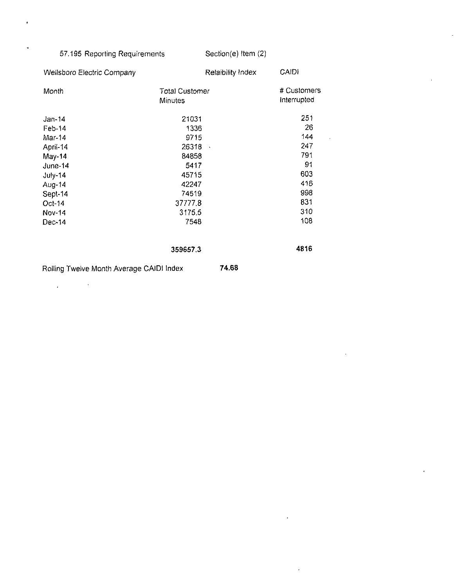#### 57.195 Reporting Requirements Section(e) Item (2)

ź

 $\overline{\phantom{a}}$ 

l,

 $\cdot$ 

| <b>Wellsboro Electric Company</b>        | Relaibility Index                | <b>CAIDI</b>               |
|------------------------------------------|----------------------------------|----------------------------|
| Month                                    | <b>Total Customer</b><br>Minutes | # Customers<br>Interrupted |
| Jan-14                                   | 21031                            | 251                        |
| Feb-14                                   | 1336                             | 26                         |
| Mar-14                                   | 9715                             | 144                        |
| April-14                                 | 26318<br>$\ddot{\phantom{a}}$    | 247                        |
| May-14                                   | 84858                            | 791                        |
| $June-14$                                | 5417                             | 91                         |
| July-14                                  | 45715                            | 603                        |
| Aug-14                                   | 42247                            | 416                        |
| Sept-14                                  | 74519                            | 998                        |
| $Oct-14$                                 | 37777.8                          | 831                        |
| Nov-14                                   | 31755                            | 310                        |
| Dec-14                                   | 7548                             | 108                        |
|                                          | 359657.3                         | 4816                       |
| Rolling Twelve Month Average CAIDI Index | 74.68                            |                            |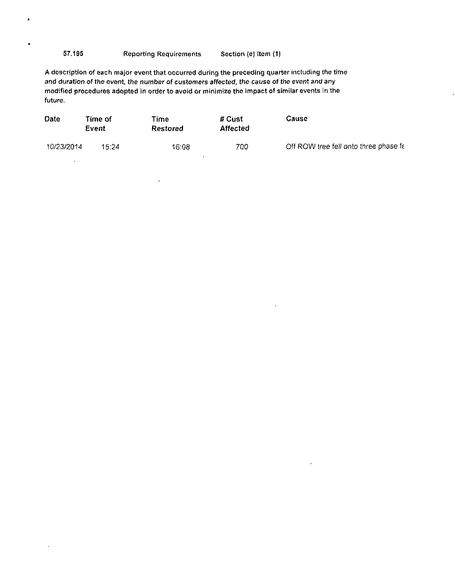#### 57.195 Reporting Requirements Section (e) Item (1)

 $\bullet$ 

 $\ddot{\phantom{1}}$ 

A description of each major event that occurred during the preceding quarter including the time and duration of the event, the number of customers affected, the cause of the event and any modified procedures adopted in order to avoid or minimize the impact of similar events in the future.

| <b>Date</b> | Time of<br>Event | l'ime.<br>Restored | # Cust<br><b>Affected</b> | Cause                                 |
|-------------|------------------|--------------------|---------------------------|---------------------------------------|
| 10/23/2014  | 15.24            | 16:08              | 700                       | Off ROW tree fell onto three phase fe |

 $\ddot{\phantom{0}}$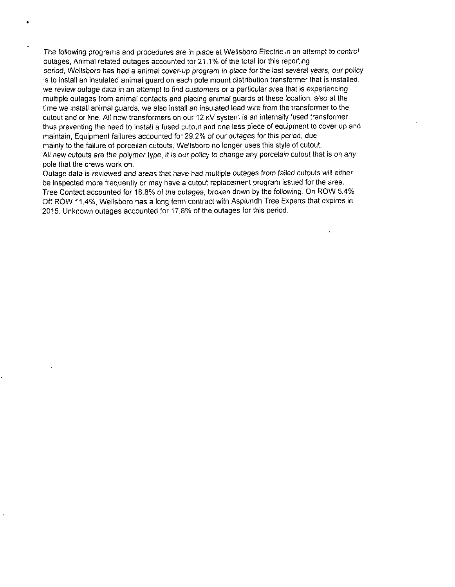The following programs and procedures are in place at Wellsboro Electric in an attempt to control outages, Animal related outages accounted for 21.1% of the total for this reporting period, Wellsboro has had a animal cover-up program in place for the last several years, our policy is to install an insulated animal guard on each pole mount distribution transformer that is installed, we review outage data in an attempt to find customers or a particular area that is experiencing multiple outages from animal contacts and placing animal guards at these location, also at the time we install animal guards, we also install an insulated lead wire from the transformer to the cutout and or line. All new transformers on our 12 kV system is an internally fused transformer thus preventing the need to install a fused cutout and one less piece of equipment to cover up and maintain, Equipment failures accounted for 29.2% of our outages for this period, due mainly to the failure of porcelian cutouts, Wellsboro no longer uses this style of cutout All new cutouts are the polymer type, it is our policy to change any porcelain cutout that is on any pole that the crews work on.

Outage data is reviewed and areas that have had multiple outages from failed cutouts will either be inspected more frequently or may have a cutout replacement program issued for the area. Tree Contact accounted for 16.8% of the outages, broken down by the following. On ROW 5.4% Off ROW 11.4%, Wellsboro has a long term contract with Asplundh Tree Experts that expires in 2015. Unknown outages accounted for 17.8% of the outages for this period.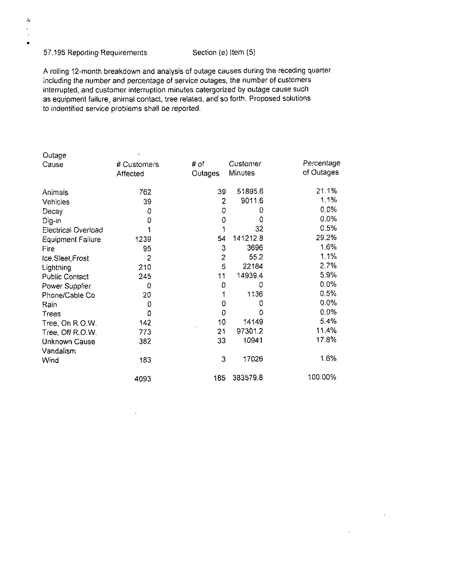#### 57.195 Reporting Requirements Section (e) Item (5)

 $\Delta$  $\mathcal{L}$  $\ddot{\phantom{a}}$  $\bullet$ 

A rolling 12-month breakdown and analysis of outage causes during the receding quarter including the number and percentage of service outages, the number of customers interrupted, and customer interruption minutes catergorized by outage cause such as equipment failure, animal contact, tree related, and'so forth. Proposed solutions to indentified service problems shall be reported.

| Outage                   |             |                |          |            |
|--------------------------|-------------|----------------|----------|------------|
| Cause                    | # Customers | # of           | Customer | Percentage |
|                          | Affected    | Outages        | Minutes  | of Outages |
| Animals                  | 762         | 39             | 51895.6  | 21.1%      |
| Vehicles                 | 39          | $\overline{2}$ | 9011.6   | 1.1%       |
| Decay                    | 0           | 0              | 0        | $0.0\%$    |
| Dig-in                   | 0           | 0              | 0        | 0.0%       |
| Electrical Overload      | 1           | 1              | 32       | 0.5%       |
| <b>Equipment Failure</b> | 1239        | 54             | 141212.8 | 29.2%      |
| Fire                     | 95          | 3              | 3696     | 1.6%       |
| Ice, Sleet, Frost        | 2           | $\overline{2}$ | 55.2     | 1.1%       |
| Lightning                | 210         | 5              | 22184    | 2.7%       |
| <b>Public Contact</b>    | 245         | 11             | 14939.4  | 5.9%       |
| Power Supplier           | 0           | 0              | 0        | $0.0\%$    |
| Phone/Cable Co           | 20          |                | 1136     | 0.5%       |
| Rain                     | 0           | 0              | 0        | 0.0%       |
| Trees                    | 0           | 0              | 0        | $0.0\%$    |
| Tree, On R.O.W.          | 142         | 10             | 14149    | 5.4%       |
| Tree, Off R.O.W.         | 773         | 21             | 97301.2  | 11.4%      |
| Unknown Cause            | 382         | 33             | 10941    | 17.8%      |
| Vandalism                |             |                |          |            |
| Wind                     | 183         | 3              | 17026    | 1.6%       |
|                          | 4093        | 185            | 383579.8 | 100.00%    |

 $\mathcal{A}$ 

 $\bar{\mathbf{r}}$